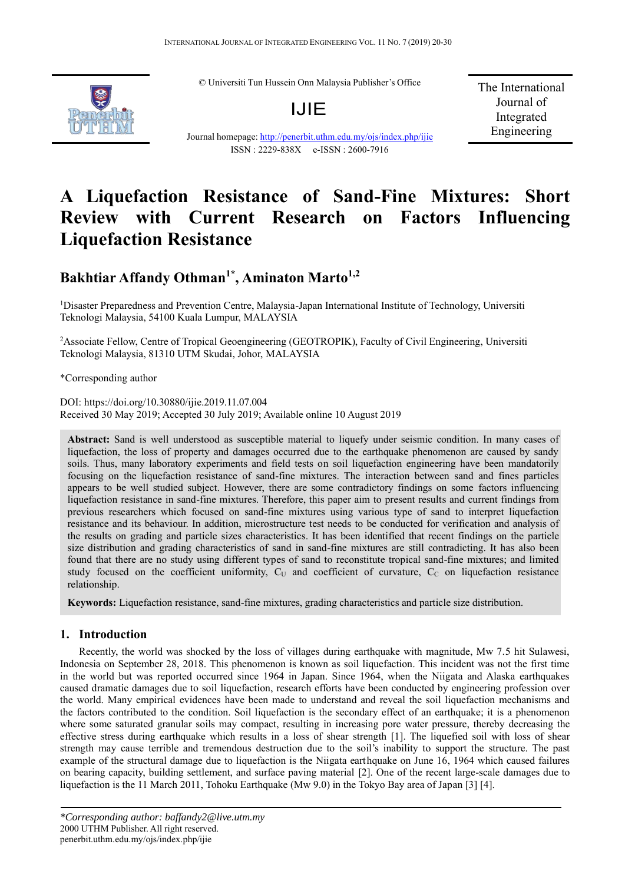© Universiti Tun Hussein Onn Malaysia Publisher's Office



IJIE

Journal homepage: http://penerbit.uthm.edu.my/ojs/index.php/ijie ISSN : 2229-838X e-ISSN : 2600-7916

The International Journal of Integrated Engineering

# **A Liquefaction Resistance of Sand-Fine Mixtures: Short Review with Current Research on Factors Influencing Liquefaction Resistance**

# Bakhtiar Affandy Othman<sup>1\*</sup>, Aminaton Marto<sup>1,2</sup>

<sup>1</sup>Disaster Preparedness and Prevention Centre, Malaysia-Japan International Institute of Technology, Universiti Teknologi Malaysia, 54100 Kuala Lumpur, MALAYSIA

<sup>2</sup> Associate Fellow, Centre of Tropical Geoengineering (GEOTROPIK), Faculty of Civil Engineering, Universiti Teknologi Malaysia, 81310 UTM Skudai, Johor, MALAYSIA

\*Corresponding author

DOI: https://doi.org/10.30880/ijie.2019.11.07.004 Received 30 May 2019; Accepted 30 July 2019; Available online 10 August 2019

**Abstract:** Sand is well understood as susceptible material to liquefy under seismic condition. In many cases of liquefaction, the loss of property and damages occurred due to the earthquake phenomenon are caused by sandy soils. Thus, many laboratory experiments and field tests on soil liquefaction engineering have been mandatorily focusing on the liquefaction resistance of sand-fine mixtures. The interaction between sand and fines particles appears to be well studied subject. However, there are some contradictory findings on some factors influencing liquefaction resistance in sand-fine mixtures. Therefore, this paper aim to present results and current findings from previous researchers which focused on sand-fine mixtures using various type of sand to interpret liquefaction resistance and its behaviour. In addition, microstructure test needs to be conducted for verification and analysis of the results on grading and particle sizes characteristics. It has been identified that recent findings on the particle size distribution and grading characteristics of sand in sand-fine mixtures are still contradicting. It has also been found that there are no study using different types of sand to reconstitute tropical sand-fine mixtures; and limited study focused on the coefficient uniformity,  $C_U$  and coefficient of curvature,  $C_C$  on liquefaction resistance relationship.

**Keywords:** Liquefaction resistance, sand-fine mixtures, grading characteristics and particle size distribution.

# **1. Introduction**

Recently, the world was shocked by the loss of villages during earthquake with magnitude, Mw 7.5 hit Sulawesi, Indonesia on September 28, 2018. This phenomenon is known as soil liquefaction. This incident was not the first time in the world but was reported occurred since 1964 in Japan. Since 1964, when the Niigata and Alaska earthquakes caused dramatic damages due to soil liquefaction, research efforts have been conducted by engineering profession over the world. Many empirical evidences have been made to understand and reveal the soil liquefaction mechanisms and the factors contributed to the condition. Soil liquefaction is the secondary effect of an earthquake; it is a phenomenon where some saturated granular soils may compact, resulting in increasing pore water pressure, thereby decreasing the effective stress during earthquake which results in a loss of shear strength [1]. The liquefied soil with loss of shear strength may cause terrible and tremendous destruction due to the soil's inability to support the structure. The past example of the structural damage due to liquefaction is the Niigata eart hquake on June 16, 1964 which caused failures on bearing capacity, building settlement, and surface paving material [2]. One of the recent large-scale damages due to liquefaction is the 11 March 2011, Tohoku Earthquake (Mw 9.0) in the Tokyo Bay area of Japan [3] [4].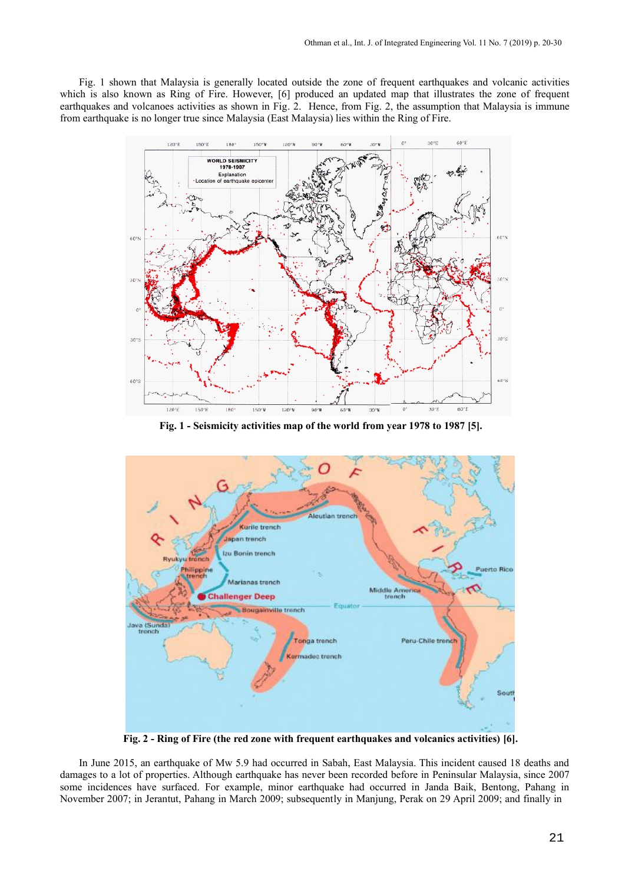Fig. 1 shown that Malaysia is generally located outside the zone of frequent earthquakes and volcanic activities which is also known as Ring of Fire. However, [6] produced an updated map that illustrates the zone of frequent earthquakes and volcanoes activities as shown in Fig. 2. Hence, from Fig. 2, the assumption that Malaysia is immune from earthquake is no longer true since Malaysia (East Malaysia) lies within the Ring of Fire.



**Fig. 1 - Seismicity activities map of the world from year 1978 to 1987 [5].**



**Fig. 2 - Ring of Fire (the red zone with frequent earthquakes and volcanics activities) [6].**

In June 2015, an earthquake of Mw 5.9 had occurred in Sabah, East Malaysia. This incident caused 18 deaths and damages to a lot of properties. Although earthquake has never been recorded before in Peninsular Malaysia, since 2007 some incidences have surfaced. For example, minor earthquake had occurred in Janda Baik, Bentong, Pahang in November 2007; in Jerantut, Pahang in March 2009; subsequently in Manjung, Perak on 29 April 2009; and finally in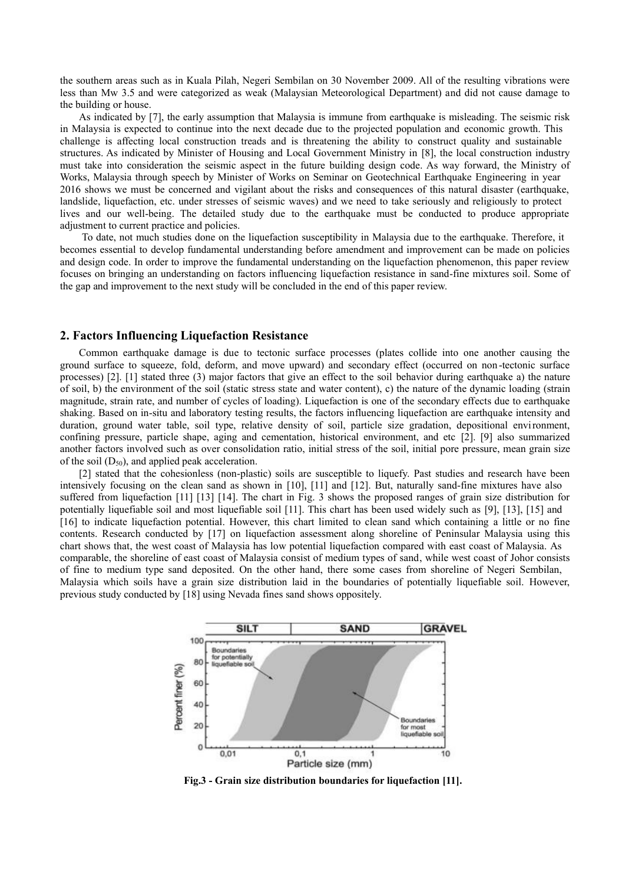the southern areas such as in Kuala Pilah, Negeri Sembilan on 30 November 2009. All of the resulting vibrations were less than Mw 3.5 and were categorized as weak (Malaysian Meteorological Department) and did not cause damage to the building or house.

As indicated by [7], the early assumption that Malaysia is immune from earthquake is misleading. The seismic risk in Malaysia is expected to continue into the next decade due to the projected population and economic growth. This challenge is affecting local construction treads and is threatening the ability to construct quality and sustainable structures. As indicated by Minister of Housing and Local Government Ministry in [8], the local construction industry must take into consideration the seismic aspect in the future building design code. As way forward, the Ministry of Works, Malaysia through speech by Minister of Works on Seminar on Geotechnical Earthquake Engineering in year 2016 shows we must be concerned and vigilant about the risks and consequences of this natural disaster (earthquake, landslide, liquefaction, etc. under stresses of seismic waves) and we need to take seriously and religiously to protect lives and our well-being. The detailed study due to the earthquake must be conducted to produce appropriate adjustment to current practice and policies.

To date, not much studies done on the liquefaction susceptibility in Malaysia due to the earthquake. Therefore, it becomes essential to develop fundamental understanding before amendment and improvement can be made on policies and design code. In order to improve the fundamental understanding on the liquefaction phenomenon, this paper review focuses on bringing an understanding on factors influencing liquefaction resistance in sand-fine mixtures soil. Some of the gap and improvement to the next study will be concluded in the end of this paper review.

#### **2. Factors Influencing Liquefaction Resistance**

Common earthquake damage is due to tectonic surface processes (plates collide into one another causing the ground surface to squeeze, fold, deform, and move upward) and secondary effect (occurred on non -tectonic surface processes) [2]. [1] stated three (3) major factors that give an effect to the soil behavior during earthquake a) the nature of soil, b) the environment of the soil (static stress state and water content), c) the nature of the dynamic loading (strain magnitude, strain rate, and number of cycles of loading). Liquefaction is one of the secondary effects due to earthquake shaking. Based on in-situ and laboratory testing results, the factors influencing liquefaction are earthquake intensity and duration, ground water table, soil type, relative density of soil, particle size gradation, depositional environment, confining pressure, particle shape, aging and cementation, historical environment, and etc [2]. [9] also summarized another factors involved such as over consolidation ratio, initial stress of the soil, initial pore pressure, mean grain size of the soil  $(D_{50})$ , and applied peak acceleration.

[2] stated that the cohesionless (non-plastic) soils are susceptible to liquefy. Past studies and research have been intensively focusing on the clean sand as shown in [10], [11] and [12]. But, naturally sand-fine mixtures have also suffered from liquefaction [11] [13] [14]. The chart in Fig. 3 shows the proposed ranges of grain size distribution for potentially liquefiable soil and most liquefiable soil [11]. This chart has been used widely such as [9], [13], [15] and [16] to indicate liquefaction potential. However, this chart limited to clean sand which containing a little or no fine contents. Research conducted by [17] on liquefaction assessment along shoreline of Peninsular Malaysia using this chart shows that, the west coast of Malaysia has low potential liquefaction compared with east coast of Malaysia. As comparable, the shoreline of east coast of Malaysia consist of medium types of sand, while west coast of Johor consists of fine to medium type sand deposited. On the other hand, there some cases from shoreline of Negeri Sembilan, Malaysia which soils have a grain size distribution laid in the boundaries of potentially liquefiable soil. However, previous study conducted by [18] using Nevada fines sand shows oppositely.



**Fig.3 - Grain size distribution boundaries for liquefaction [11].**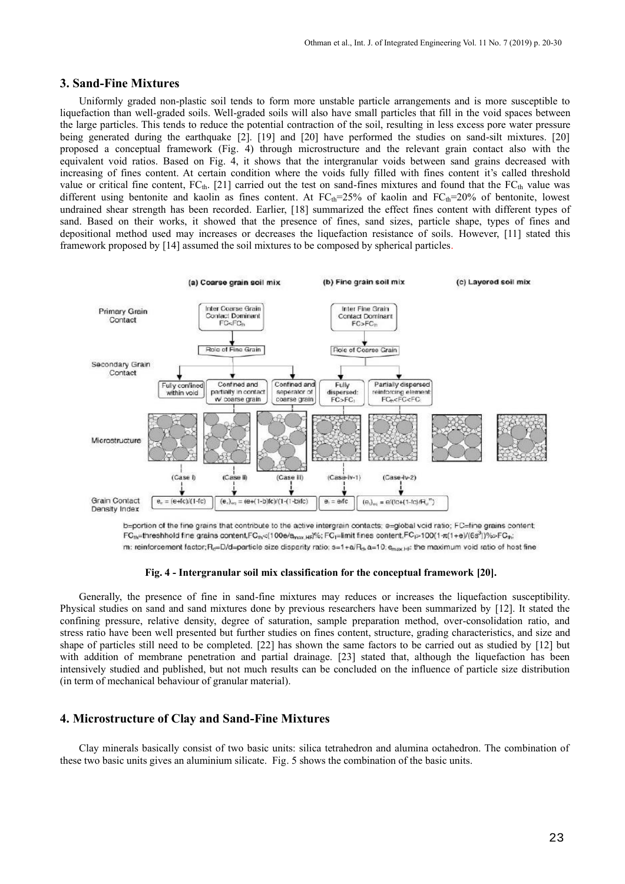#### **3. Sand-Fine Mixtures**

Uniformly graded non-plastic soil tends to form more unstable particle arrangements and is more susceptible to liquefaction than well-graded soils. Well-graded soils will also have small particles that fill in the void spaces between the large particles. This tends to reduce the potential contraction of the soil, resulting in less excess pore water pressure being generated during the earthquake [2]. [19] and [20] have performed the studies on sand-silt mixtures. [20] proposed a conceptual framework (Fig. 4) through microstructure and the relevant grain contact also with the equivalent void ratios. Based on Fig. 4, it shows that the intergranular voids between sand grains decreased with increasing of fines content. At certain condition where the voids fully filled with fines content it's called threshold value or critical fine content,  $FC<sub>th</sub>$ . [21] carried out the test on sand-fines mixtures and found that the  $FC<sub>th</sub>$  value was different using bentonite and kaolin as fines content. At  $FC<sub>th</sub>=25%$  of kaolin and  $FC<sub>th</sub>=20%$  of bentonite, lowest undrained shear strength has been recorded. Earlier, [18] summarized the effect fines content with different types of sand. Based on their works, it showed that the presence of fines, sand sizes, particle shape, types of fines and depositional method used may increases or decreases the liquefaction resistance of soils. However, [11] stated this framework proposed by [14] assumed the soil mixtures to be composed by spherical particles.



b=portion of the fine grains that contribute to the active intergrain contacts; e=global void ratio; FC=fine grains content;  $FC_{th}$ =threshhold fine grains content,  $FC_{th}<(100e/e_{max,He}|96;FC_{t}=limit$  fines content,  $FC_{t}>100(1-\pi(1+e)/(6s^{3}))\%>FC_{th}$ m: reinforcement factor; R<sub>d</sub>=D/d=particle size disparity ratio; s=1+a/R<sub>6</sub>, a=10; e<sub>mex H</sub>; the maximum void ratio of host fine

#### **Fig. 4 - Intergranular soil mix classification for the conceptual framework [20].**

Generally, the presence of fine in sand-fine mixtures may reduces or increases the liquefaction susceptibility. Physical studies on sand and sand mixtures done by previous researchers have been summarized by [12]. It stated the confining pressure, relative density, degree of saturation, sample preparation method, over-consolidation ratio, and stress ratio have been well presented but further studies on fines content, structure, grading characteristics, and size and shape of particles still need to be completed. [22] has shown the same factors to be carried out as studied by [12] but with addition of membrane penetration and partial drainage. [23] stated that, although the liquefaction has been intensively studied and published, but not much results can be concluded on the influence of particle size distribution (in term of mechanical behaviour of granular material).

#### **4. Microstructure of Clay and Sand-Fine Mixtures**

Clay minerals basically consist of two basic units: silica tetrahedron and alumina octahedron. The combination of these two basic units gives an aluminium silicate. Fig. 5 shows the combination of the basic units.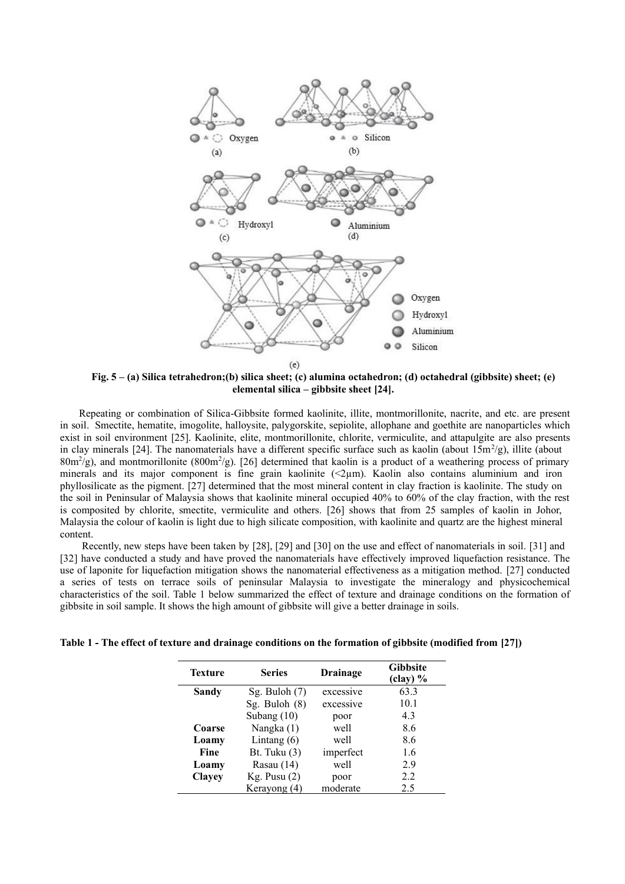

**Fig. 5 – (a) Silica tetrahedron;(b) silica sheet; (c) alumina octahedron; (d) octahedral (gibbsite) sheet; (e) elemental silica – gibbsite sheet [24].**

Repeating or combination of Silica-Gibbsite formed kaolinite, illite, montmorillonite, nacrite, and etc. are present in soil. Smectite, hematite, imogolite, halloysite, palygorskite, sepiolite, allophane and goethite are nanoparticles which exist in soil environment [25]. Kaolinite, elite, montmorillonite, chlorite, vermiculite, and attapulgite are also presents in clay minerals [24]. The nanomaterials have a different specific surface such as kaolin (about  $15m^2/g$ ), illite (about  $80 \text{m}^2/\text{g}$ ), and montmorillonite  $(800 \text{m}^2/\text{g})$ . [26] determined that kaolin is a product of a weathering process of primary minerals and its major component is fine grain kaolinite  $(\leq 2\mu m)$ . Kaolin also contains aluminium and iron phyllosilicate as the pigment. [27] determined that the most mineral content in clay fraction is kaolinite. The study on the soil in Peninsular of Malaysia shows that kaolinite mineral occupied 40% to 60% of the clay fraction, with the rest is composited by chlorite, smectite, vermiculite and others. [26] shows that from 25 samples of kaolin in Johor, Malaysia the colour of kaolin is light due to high silicate composition, with kaolinite and quartz are the highest mineral content.

Recently, new steps have been taken by [28], [29] and [30] on the use and effect of nanomaterials in soil. [31] and [32] have conducted a study and have proved the nanomaterials have effectively improved liquefaction resistance. The use of laponite for liquefaction mitigation shows the nanomaterial effectiveness as a mitigation method. [27] conducted a series of tests on terrace soils of peninsular Malaysia to investigate the mineralogy and physicochemical characteristics of the soil. Table 1 below summarized the effect of texture and drainage conditions on the formation of gibbsite in soil sample. It shows the high amount of gibbsite will give a better drainage in soils.

**Table 1 - The effect of texture and drainage conditions on the formation of gibbsite (modified from [27])**

| Texture       | <b>Series</b>   | <b>Drainage</b> | <b>Gibbsite</b><br>(clay) % |  |
|---------------|-----------------|-----------------|-----------------------------|--|
| Sandy         | Sg. Buloh $(7)$ | excessive       | 63.3                        |  |
|               | Sg. Buloh $(8)$ | excessive       | 10.1                        |  |
|               | Subang $(10)$   | poor            | 4.3                         |  |
| Coarse        | Nangka (1)      | well            | 8.6                         |  |
| Loamy         | Lintang $(6)$   | well            | 8.6                         |  |
| Fine          | Bt. Tuku $(3)$  | imperfect       | 1.6                         |  |
| Loamy         | Rasau (14)      | well            | 2.9                         |  |
| <b>Clayey</b> | Kg. Pusu(2)     | poor            | 2.2                         |  |
|               | Kerayong (4)    | moderate        | 2.5                         |  |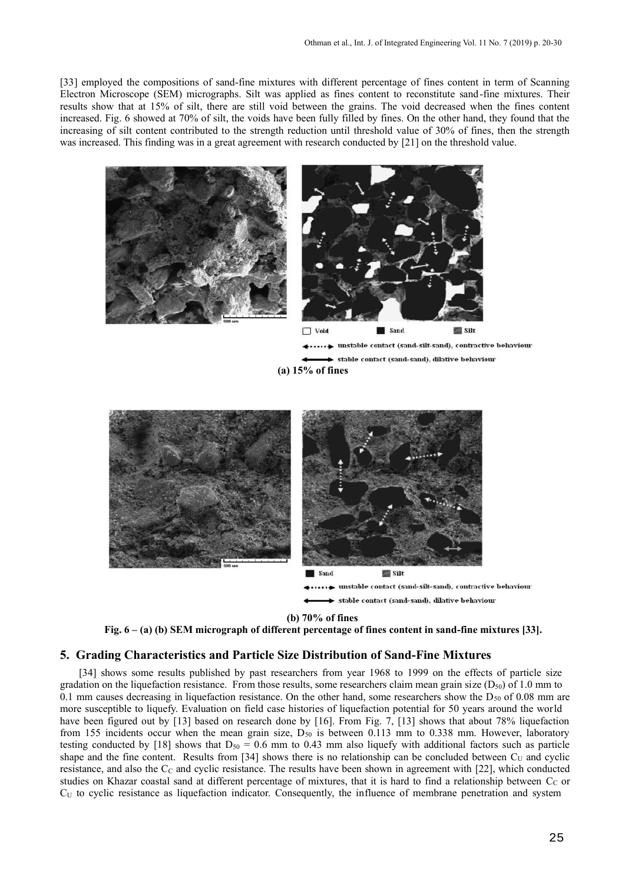[33] employed the compositions of sand-fine mixtures with different percentage of fines content in term of Scanning Electron Microscope (SEM) micrographs. Silt was applied as fines content to reconstitute sand -fine mixtures. Their results show that at 15% of silt, there are still void between the grains. The void decreased when the fines content increased. Fig. 6 showed at 70% of silt, the voids have been fully filled by fines. On the other hand, they found that the increasing of silt content contributed to the strength reduction until threshold value of 30% of fines, then the strength was increased. This finding was in a great agreement with research conducted by [21] on the threshold value.



Sand  $Silt$ unstable contact (sand-silt-sand), contractive behaviour stable contact (sand-sand), dilative behaviour

**(b) 70% of fines**

**Fig. 6 – (a) (b) SEM micrograph of different percentage of fines content in sand-fine mixtures [33].**

#### **5. Grading Characteristics and Particle Size Distribution of Sand-Fine Mixtures**

[34] shows some results published by past researchers from year 1968 to 1999 on the effects of particle size gradation on the liquefaction resistance. From those results, some researchers claim mean grain size  $(D_{50})$  of 1.0 mm to 0.1 mm causes decreasing in liquefaction resistance. On the other hand, some researchers show the  $D_{50}$  of 0.08 mm are more susceptible to liquefy. Evaluation on field case histories of liquefaction potential for 50 years around the world have been figured out by [13] based on research done by [16]. From Fig. 7, [13] shows that about 78% liquefaction from 155 incidents occur when the mean grain size,  $D_{50}$  is between 0.113 mm to 0.338 mm. However, laboratory testing conducted by [18] shows that  $D_{50} = 0.6$  mm to 0.43 mm also liquefy with additional factors such as particle shape and the fine content. Results from [34] shows there is no relationship can be concluded between  $C_U$  and cyclic resistance, and also the  $C_c$  and cyclic resistance. The results have been shown in agreement with  $[22]$ , which conducted studies on Khazar coastal sand at different percentage of mixtures, that it is hard to find a relationship between  $C_C$  or  $C_U$  to cyclic resistance as liquefaction indicator. Consequently, the influence of membrane penetration and system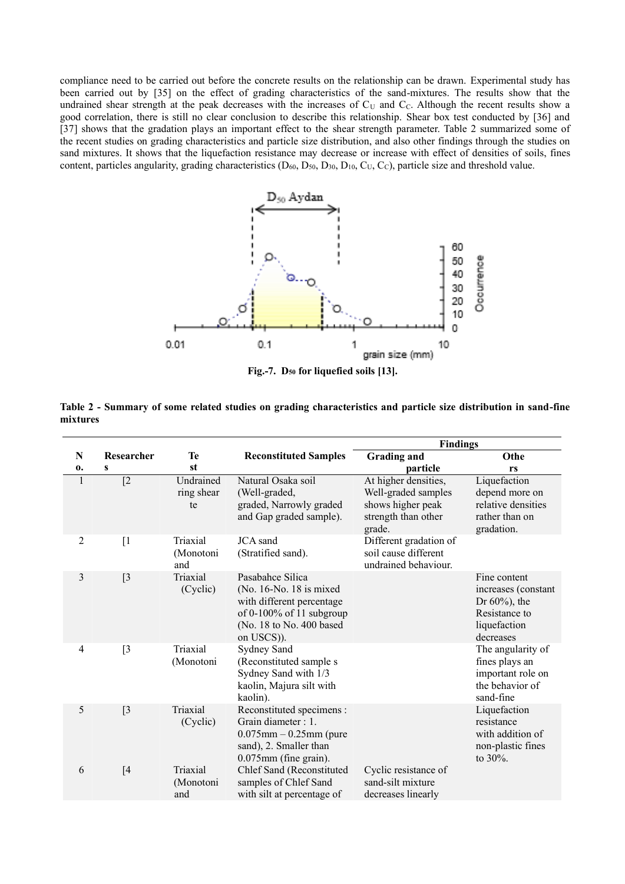compliance need to be carried out before the concrete results on the relationship can be drawn. Experimental study has been carried out by [35] on the effect of grading characteristics of the sand-mixtures. The results show that the undrained shear strength at the peak decreases with the increases of  $C<sub>U</sub>$  and  $C<sub>C</sub>$ . Although the recent results show a good correlation, there is still no clear conclusion to describe this relationship. Shear box test conducted by [36] and [37] shows that the gradation plays an important effect to the shear strength parameter. Table 2 summarized some of the recent studies on grading characteristics and particle size distribution, and also other findings through the studies on sand mixtures. It shows that the liquefaction resistance may decrease or increase with effect of densities of soils, fines content, particles angularity, grading characteristics ( $D_{60}$ ,  $D_{50}$ ,  $D_{30}$ ,  $D_{10}$ ,  $C_U$ ,  $C_C$ ), particle size and threshold value.



**Fig.-7. D50 for liquefied soils [13].**

|          |  | Table 2 - Summary of some related studies on grading characteristics and particle size distribution in sand-fine |  |  |
|----------|--|------------------------------------------------------------------------------------------------------------------|--|--|
| mixtures |  |                                                                                                                  |  |  |

|              |                   |                               |                                                                                                                                                | <b>Findings</b>                                                                                   |                                                                                                       |
|--------------|-------------------|-------------------------------|------------------------------------------------------------------------------------------------------------------------------------------------|---------------------------------------------------------------------------------------------------|-------------------------------------------------------------------------------------------------------|
| N            | Researcher        | Te                            | <b>Reconstituted Samples</b>                                                                                                                   | <b>Grading and</b>                                                                                | Othe                                                                                                  |
| 0.           | S                 | st                            |                                                                                                                                                | particle                                                                                          | rs                                                                                                    |
| $\mathbf{1}$ | $\sqrt{2}$        | Undrained<br>ring shear<br>te | Natural Osaka soil<br>(Well-graded,<br>graded, Narrowly graded<br>and Gap graded sample).                                                      | At higher densities,<br>Well-graded samples<br>shows higher peak<br>strength than other<br>grade. | Liquefaction<br>depend more on<br>relative densities<br>rather than on<br>gradation.                  |
| 2            | $\lceil 1 \rceil$ | Triaxial<br>(Monotoni<br>and  | JCA sand<br>(Stratified sand).                                                                                                                 | Different gradation of<br>soil cause different<br>undrained behaviour.                            |                                                                                                       |
| 3            | $[3]$             | Triaxial<br>(Cyclic)          | Pasabahce Silica<br>(No. 16-No. 18 is mixed<br>with different percentage<br>of 0-100% of 11 subgroup<br>(No. 18 to No. 400 based<br>on USCS)). |                                                                                                   | Fine content<br>increases (constant<br>Dr $60\%$ ), the<br>Resistance to<br>liquefaction<br>decreases |
| 4            | $[3]$             | Triaxial<br>(Monotoni         | Sydney Sand<br>(Reconstituted sample s<br>Sydney Sand with 1/3<br>kaolin, Majura silt with<br>kaolin).                                         |                                                                                                   | The angularity of<br>fines plays an<br>important role on<br>the behavior of<br>sand-fine              |
| 5            | [3]               | Triaxial<br>(Cyclic)          | Reconstituted specimens :<br>Grain diameter : 1.<br>$0.075$ mm $-0.25$ mm (pure<br>sand), 2. Smaller than<br>$0.075$ mm (fine grain).          |                                                                                                   | Liquefaction<br>resistance<br>with addition of<br>non-plastic fines<br>to $30\%$ .                    |
| 6            | [4]               | Triaxial<br>(Monotoni<br>and  | Chlef Sand (Reconstituted<br>samples of Chlef Sand<br>with silt at percentage of                                                               | Cyclic resistance of<br>sand-silt mixture<br>decreases linearly                                   |                                                                                                       |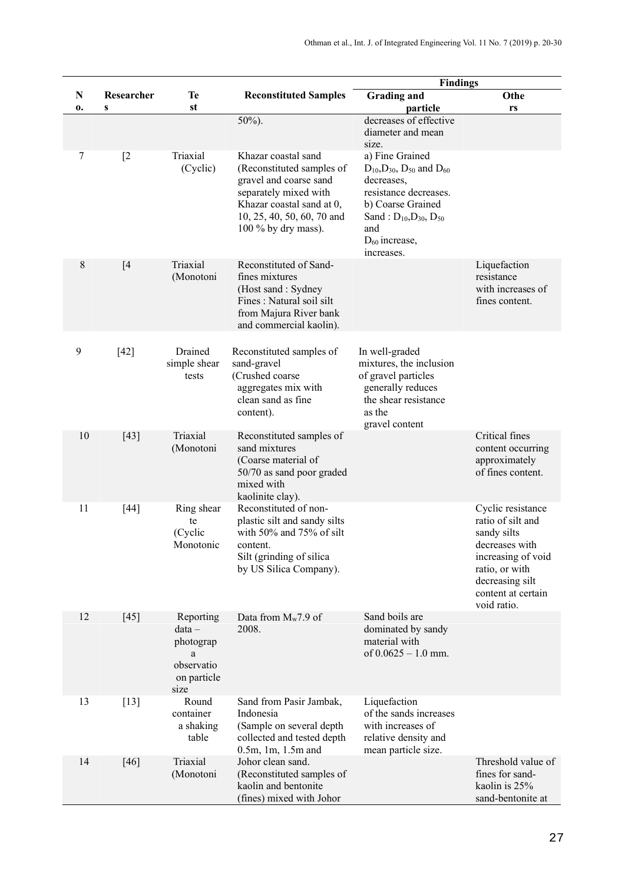|         |                            |                                                                              |                                                                                                                                                                                       | <b>Findings</b>                                                                                                                                                                                                      |                                                                                                                                                                         |  |
|---------|----------------------------|------------------------------------------------------------------------------|---------------------------------------------------------------------------------------------------------------------------------------------------------------------------------------|----------------------------------------------------------------------------------------------------------------------------------------------------------------------------------------------------------------------|-------------------------------------------------------------------------------------------------------------------------------------------------------------------------|--|
| N<br>0. | Researcher<br>$\mathbf{s}$ | Te<br>st                                                                     | <b>Reconstituted Samples</b>                                                                                                                                                          | <b>Grading and</b><br>particle                                                                                                                                                                                       | Othe<br>rs                                                                                                                                                              |  |
|         |                            |                                                                              | 50%).                                                                                                                                                                                 | decreases of effective<br>diameter and mean<br>size.                                                                                                                                                                 |                                                                                                                                                                         |  |
| 7       | [2]                        | Triaxial<br>(Cyclic)                                                         | Khazar coastal sand<br>(Reconstituted samples of<br>gravel and coarse sand<br>separately mixed with<br>Khazar coastal sand at 0,<br>10, 25, 40, 50, 60, 70 and<br>100 % by dry mass). | a) Fine Grained<br>$D_{10}$ , $D_{30}$ , $D_{50}$ and $D_{60}$<br>decreases,<br>resistance decreases.<br>b) Coarse Grained<br>Sand: $D_{10}$ , $D_{30}$ , $D_{50}$<br>and<br>D <sub>60</sub> increase,<br>increases. |                                                                                                                                                                         |  |
| 8       | [4]                        | Triaxial<br>(Monotoni                                                        | Reconstituted of Sand-<br>fines mixtures<br>(Host sand: Sydney<br>Fines : Natural soil silt<br>from Majura River bank<br>and commercial kaolin).                                      |                                                                                                                                                                                                                      | Liquefaction<br>resistance<br>with increases of<br>fines content.                                                                                                       |  |
| 9       | $[42]$                     | Drained<br>simple shear<br>tests                                             | Reconstituted samples of<br>sand-gravel<br>(Crushed coarse<br>aggregates mix with<br>clean sand as fine<br>content).                                                                  | In well-graded<br>mixtures, the inclusion<br>of gravel particles<br>generally reduces<br>the shear resistance<br>as the<br>gravel content                                                                            |                                                                                                                                                                         |  |
| 10      | $[43]$                     | Triaxial<br>(Monotoni                                                        | Reconstituted samples of<br>sand mixtures<br>(Coarse material of<br>50/70 as sand poor graded<br>mixed with<br>kaolinite clay).                                                       |                                                                                                                                                                                                                      | Critical fines<br>content occurring<br>approximately<br>of fines content.                                                                                               |  |
| 11      | $[44]$                     | Ring shear<br>te<br>(Cyclic<br>Monotonic                                     | Reconstituted of non-<br>plastic silt and sandy silts<br>with 50% and 75% of silt<br>content.<br>Silt (grinding of silica<br>by US Silica Company).                                   |                                                                                                                                                                                                                      | Cyclic resistance<br>ratio of silt and<br>sandy silts<br>decreases with<br>increasing of void<br>ratio, or with<br>decreasing silt<br>content at certain<br>void ratio. |  |
| 12      | $[45]$                     | Reporting<br>$data -$<br>photograp<br>a<br>observatio<br>on particle<br>size | Data from $M_w$ 7.9 of<br>2008.                                                                                                                                                       | Sand boils are<br>dominated by sandy<br>material with<br>of $0.0625 - 1.0$ mm.                                                                                                                                       |                                                                                                                                                                         |  |
| 13      | $[13]$                     | Round<br>container<br>a shaking<br>table                                     | Sand from Pasir Jambak,<br>Indonesia<br>(Sample on several depth<br>collected and tested depth<br>$0.5m$ , 1m, 1.5m and                                                               | Liquefaction<br>of the sands increases<br>with increases of<br>relative density and<br>mean particle size.                                                                                                           |                                                                                                                                                                         |  |
| 14      | $[46]$                     | Triaxial<br>(Monotoni                                                        | Johor clean sand.<br>(Reconstituted samples of<br>kaolin and bentonite<br>(fines) mixed with Johor                                                                                    |                                                                                                                                                                                                                      | Threshold value of<br>fines for sand-<br>kaolin is 25%<br>sand-bentonite at                                                                                             |  |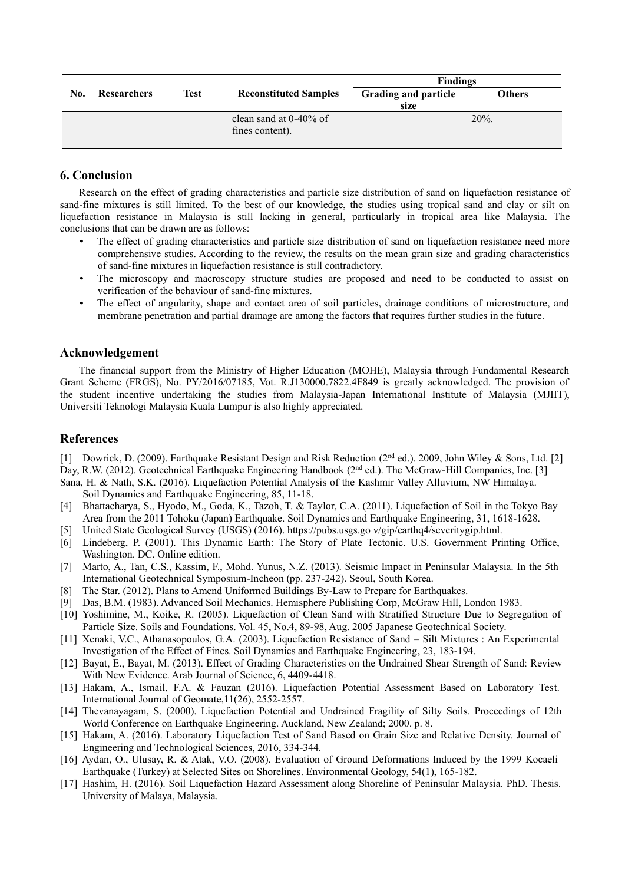|     |             |      |                              | <b>Findings</b>             |               |  |
|-----|-------------|------|------------------------------|-----------------------------|---------------|--|
| No. | Researchers | Test | <b>Reconstituted Samples</b> | <b>Grading and particle</b> | <b>Others</b> |  |
|     |             |      |                              | size                        |               |  |
|     |             |      | clean sand at $0-40\%$ of    |                             | $20\%$ .      |  |
|     |             |      | fines content).              |                             |               |  |
|     |             |      |                              |                             |               |  |

# **6. Conclusion**

Research on the effect of grading characteristics and particle size distribution of sand on liquefaction resistance of sand-fine mixtures is still limited. To the best of our knowledge, the studies using tropical sand and clay or silt on liquefaction resistance in Malaysia is still lacking in general, particularly in tropical area like Malaysia. The conclusions that can be drawn are as follows:

- The effect of grading characteristics and particle size distribution of sand on liquefaction resistance need more comprehensive studies. According to the review, the results on the mean grain size and grading characteristics of sand-fine mixtures in liquefaction resistance is still contradictory.
- The microscopy and macroscopy structure studies are proposed and need to be conducted to assist on verification of the behaviour of sand-fine mixtures.
- The effect of angularity, shape and contact area of soil particles, drainage conditions of microstructure, and membrane penetration and partial drainage are among the factors that requires further studies in the future.

### **Acknowledgement**

The financial support from the Ministry of Higher Education (MOHE), Malaysia through Fundamental Research Grant Scheme (FRGS), No. PY/2016/07185, Vot. R.J130000.7822.4F849 is greatly acknowledged. The provision of the student incentive undertaking the studies from Malaysia-Japan International Institute of Malaysia (MJIIT), Universiti Teknologi Malaysia Kuala Lumpur is also highly appreciated.

## **References**

[1] Dowrick, D. (2009). Earthquake Resistant Design and Risk Reduction (2nd ed.). 2009, John Wiley & Sons, Ltd. [2] Day, R.W. (2012). Geotechnical Earthquake Engineering Handbook (2<sup>nd</sup> ed.). The McGraw-Hill Companies, Inc. [3]

- Sana, H. & Nath, S.K. (2016). Liquefaction Potential Analysis of the Kashmir Valley Alluvium, NW Himalaya. Soil Dynamics and Earthquake Engineering, 85, 11-18.
- [4] Bhattacharya, S., Hyodo, M., Goda, K., Tazoh, T. & Taylor, C.A. (2011). Liquefaction of Soil in the Tokyo Bay Area from the 2011 Tohoku (Japan) Earthquake. Soil Dynamics and Earthquake Engineering, 31, 1618-1628.
- [5] United State Geological Survey (USGS) (2016). https://pubs.usgs.go v/gip/earthq4/severitygip.html.
- [6] Lindeberg, P. (2001). This Dynamic Earth: The Story of Plate Tectonic. U.S. Government Printing Office, Washington. DC. Online edition.
- [7] Marto, A., Tan, C.S., Kassim, F., Mohd. Yunus, N.Z. (2013). Seismic Impact in Peninsular Malaysia. In the 5th International Geotechnical Symposium-Incheon (pp. 237-242). Seoul, South Korea.
- [8] The Star. (2012). Plans to Amend Uniformed Buildings By-Law to Prepare for Earthquakes.
- [9] Das, B.M. (1983). Advanced Soil Mechanics. Hemisphere Publishing Corp, McGraw Hill, London 1983.
- [10] Yoshimine, M., Koike, R. (2005). Liquefaction of Clean Sand with Stratified Structure Due to Segregation of Particle Size. Soils and Foundations. Vol. 45, No.4, 89-98, Aug. 2005 Japanese Geotechnical Society.
- [11] Xenaki, V.C., Athanasopoulos, G.A. (2003). Liquefaction Resistance of Sand Silt Mixtures : An Experimental Investigation of the Effect of Fines. Soil Dynamics and Earthquake Engineering, 23, 183-194.
- [12] Bayat, E., Bayat, M. (2013). Effect of Grading Characteristics on the Undrained Shear Strength of Sand: Review With New Evidence. Arab Journal of Science, 6, 4409-4418.
- [13] Hakam, A., Ismail, F.A. & Fauzan (2016). Liquefaction Potential Assessment Based on Laboratory Test. International Journal of Geomate,11(26), 2552-2557.
- [14] Thevanayagam, S. (2000). Liquefaction Potential and Undrained Fragility of Silty Soils. Proceedings of 12th World Conference on Earthquake Engineering. Auckland, New Zealand; 2000. p. 8.
- [15] Hakam, A. (2016). Laboratory Liquefaction Test of Sand Based on Grain Size and Relative Density. Journal of Engineering and Technological Sciences, 2016, 334-344.
- [16] Aydan, O., Ulusay, R. & Atak, V.O. (2008). Evaluation of Ground Deformations Induced by the 1999 Kocaeli Earthquake (Turkey) at Selected Sites on Shorelines. Environmental Geology, 54(1), 165-182.
- [17] Hashim, H. (2016). Soil Liquefaction Hazard Assessment along Shoreline of Peninsular Malaysia. PhD. Thesis. University of Malaya, Malaysia.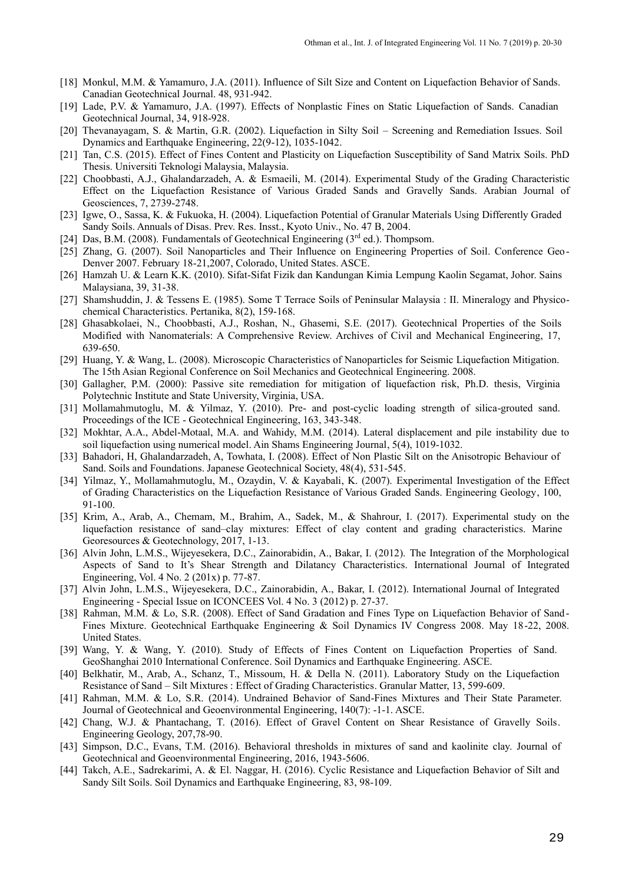- [18] Monkul, M.M. & Yamamuro, J.A. (2011). Influence of Silt Size and Content on Liquefaction Behavior of Sands. Canadian Geotechnical Journal. 48, 931-942.
- [19] Lade, P.V. & Yamamuro, J.A. (1997). Effects of Nonplastic Fines on Static Liquefaction of Sands. Canadian Geotechnical Journal, 34, 918-928.
- [20] Thevanayagam, S. & Martin, G.R. (2002). Liquefaction in Silty Soil Screening and Remediation Issues. Soil Dynamics and Earthquake Engineering, 22(9-12), 1035-1042.
- [21] Tan, C.S. (2015). Effect of Fines Content and Plasticity on Liquefaction Susceptibility of Sand Matrix Soils. PhD Thesis. Universiti Teknologi Malaysia, Malaysia.
- [22] Choobbasti, A.J., Ghalandarzadeh, A. & Esmaeili, M. (2014). Experimental Study of the Grading Characteristic Effect on the Liquefaction Resistance of Various Graded Sands and Gravelly Sands. Arabian Journal of Geosciences, 7, 2739-2748.
- [23] Igwe, O., Sassa, K. & Fukuoka, H. (2004). Liquefaction Potential of Granular Materials Using Differently Graded Sandy Soils. Annuals of Disas. Prev. Res. Insst., Kyoto Univ., No. 47 B, 2004.
- [24] Das, B.M. (2008). Fundamentals of Geotechnical Engineering ( $3<sup>rd</sup>$  ed.). Thompsom.
- [25] Zhang, G. (2007). Soil Nanoparticles and Their Influence on Engineering Properties of Soil. Conference Geo Denver 2007. February 18-21,2007, Colorado, United States. ASCE.
- [26] Hamzah U. & Learn K.K. (2010). Sifat-Sifat Fizik dan Kandungan Kimia Lempung Kaolin Segamat, Johor. Sains Malaysiana, 39, 31-38.
- [27] Shamshuddin, J. & Tessens E. (1985). Some T Terrace Soils of Peninsular Malaysia : II. Mineralogy and Physicochemical Characteristics. Pertanika, 8(2), 159-168.
- [28] Ghasabkolaei, N., Choobbasti, A.J., Roshan, N., Ghasemi, S.E. (2017). Geotechnical Properties of the Soils Modified with Nanomaterials: A Comprehensive Review. Archives of Civil and Mechanical Engineering, 17, 639-650.
- [29] Huang, Y. & Wang, L. (2008). Microscopic Characteristics of Nanoparticles for Seismic Liquefaction Mitigation. The 15th Asian Regional Conference on Soil Mechanics and Geotechnical Engineering. 2008.
- [30] Gallagher, P.M. (2000): Passive site remediation for mitigation of liquefaction risk, Ph.D. thesis, Virginia Polytechnic Institute and State University, Virginia, USA.
- [31] Mollamahmutoglu, M. & Yilmaz, Y. (2010). Pre- and post-cyclic loading strength of silica-grouted sand. Proceedings of the ICE - Geotechnical Engineering, 163, 343-348.
- [32] Mokhtar, A.A., Abdel-Motaal, M.A. and Wahidy, M.M. (2014). Lateral displacement and pile instability due to soil liquefaction using numerical model. Ain Shams Engineering Journal, 5(4), 1019-1032.
- [33] Bahadori, H, Ghalandarzadeh, A, Towhata, I. (2008). Effect of Non Plastic Silt on the Anisotropic Behaviour of Sand. Soils and Foundations. Japanese Geotechnical Society, 48(4), 531-545.
- [34] Yilmaz, Y., Mollamahmutoglu, M., Ozaydin, V. & Kayabali, K. (2007). Experimental Investigation of the Effect of Grading Characteristics on the Liquefaction Resistance of Various Graded Sands. Engineering Geology, 100, 91-100.
- [35] Krim, A., Arab, A., Chemam, M., Brahim, A., Sadek, M., & Shahrour, I. (2017). Experimental study on the liquefaction resistance of sand–clay mixtures: Effect of clay content and grading characteristics. Marine Georesources & Geotechnology, 2017, 1-13.
- [36] Alvin John, L.M.S., Wijeyesekera, D.C., Zainorabidin, A., Bakar, I. (2012). The Integration of the Morphological Aspects of Sand to It's Shear Strength and Dilatancy Characteristics. International Journal of Integrated Engineering, Vol. 4 No. 2 (201x) p. 77-87.
- [37] Alvin John, L.M.S., Wijeyesekera, D.C., Zainorabidin, A., Bakar, I. (2012). International Journal of Integrated Engineering - Special Issue on ICONCEES Vol. 4 No. 3 (2012) p. 27-37.
- [38] Rahman, M.M. & Lo, S.R. (2008). Effect of Sand Gradation and Fines Type on Liquefaction Behavior of Sand Fines Mixture. Geotechnical Earthquake Engineering & Soil Dynamics IV Congress 2008. May 18 -22, 2008. United States.
- [39] Wang, Y. & Wang, Y. (2010). Study of Effects of Fines Content on Liquefaction Properties of Sand. GeoShanghai 2010 International Conference. Soil Dynamics and Earthquake Engineering. ASCE.
- [40] Belkhatir, M., Arab, A., Schanz, T., Missoum, H. & Della N. (2011). Laboratory Study on the Liquefaction Resistance of Sand – Silt Mixtures : Effect of Grading Characteristics. Granular Matter, 13, 599-609.
- [41] Rahman, M.M. & Lo, S.R. (2014). Undrained Behavior of Sand-Fines Mixtures and Their State Parameter. Journal of Geotechnical and Geoenvironmental Engineering, 140(7): -1-1. ASCE.
- [42] Chang, W.J. & Phantachang, T. (2016). Effect of Gravel Content on Shear Resistance of Gravelly Soils. Engineering Geology, 207,78-90.
- [43] Simpson, D.C., Evans, T.M. (2016). Behavioral thresholds in mixtures of sand and kaolinite clay. Journal of Geotechnical and Geoenvironmental Engineering, 2016, 1943-5606.
- [44] Takch, A.E., Sadrekarimi, A. & El. Naggar, H. (2016). Cyclic Resistance and Liquefaction Behavior of Silt and Sandy Silt Soils. Soil Dynamics and Earthquake Engineering, 83, 98-109.